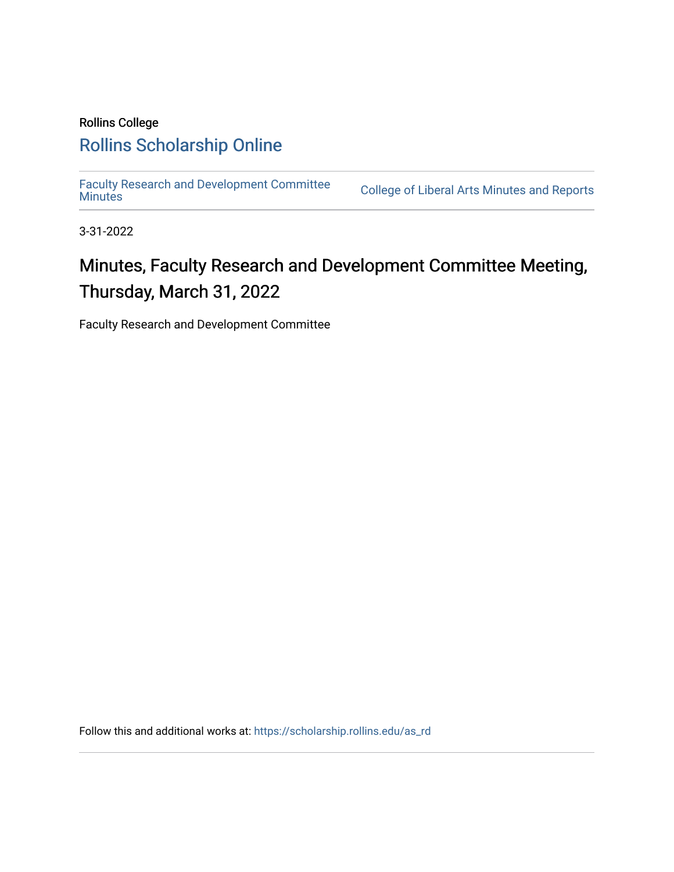# Rollins College [Rollins Scholarship Online](https://scholarship.rollins.edu/)

[Faculty Research and Development Committee](https://scholarship.rollins.edu/as_rd)

College of Liberal Arts [Minutes](https://scholarship.rollins.edu/as_rd) and Reports

3-31-2022

# Minutes, Faculty Research and Development Committee Meeting, Thursday, March 31, 2022

Faculty Research and Development Committee

Follow this and additional works at: [https://scholarship.rollins.edu/as\\_rd](https://scholarship.rollins.edu/as_rd?utm_source=scholarship.rollins.edu%2Fas_rd%2F18&utm_medium=PDF&utm_campaign=PDFCoverPages)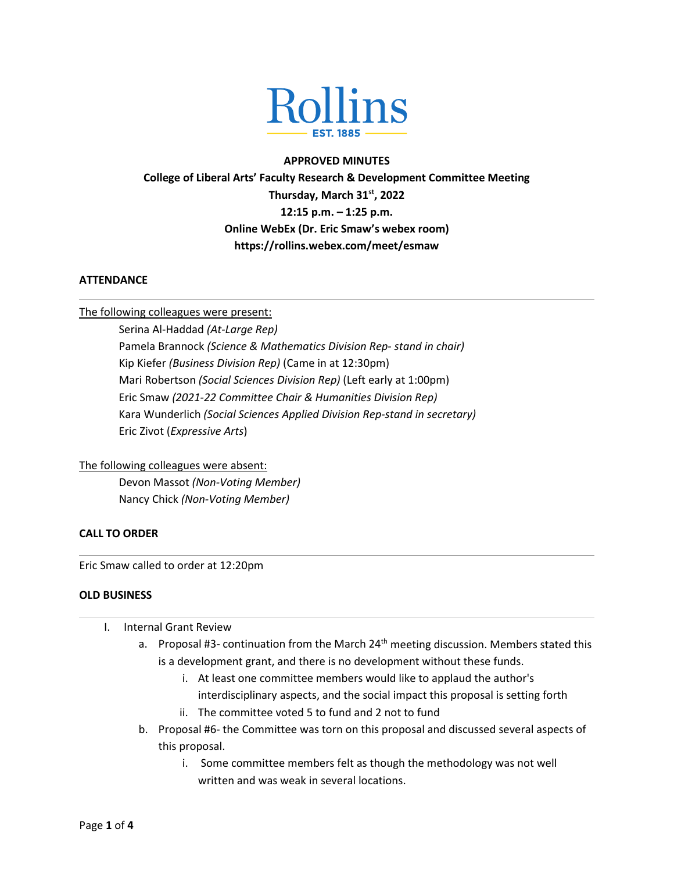

#### **APPROVED MINUTES**

**College of Liberal Arts' Faculty Research & Development Committee Meeting**

**Thursday, March 31st, 2022 12:15 p.m. – 1:25 p.m. Online WebEx (Dr. Eric Smaw's webex room)**

**https://rollins.webex.com/meet/esmaw**

#### **ATTENDANCE**

The following colleagues were present:

Serina Al-Haddad *(At-Large Rep)* Pamela Brannock *(Science & Mathematics Division Rep- stand in chair)* Kip Kiefer *(Business Division Rep)* (Came in at 12:30pm) Mari Robertson *(Social Sciences Division Rep)* (Left early at 1:00pm) Eric Smaw *(2021-22 Committee Chair & Humanities Division Rep)* Kara Wunderlich *(Social Sciences Applied Division Rep-stand in secretary)* Eric Zivot (*Expressive Arts*)

### The following colleagues were absent:

Devon Massot *(Non-Voting Member)* Nancy Chick *(Non-Voting Member)*

## **CALL TO ORDER**

Eric Smaw called to order at 12:20pm

#### **OLD BUSINESS**

- I. Internal Grant Review
	- a. Proposal #3- continuation from the March  $24<sup>th</sup>$  meeting discussion. Members stated this is a development grant, and there is no development without these funds.
		- i. At least one committee members would like to applaud the author's interdisciplinary aspects, and the social impact this proposal is setting forth
		- ii. The committee voted 5 to fund and 2 not to fund
	- b. Proposal #6- the Committee was torn on this proposal and discussed several aspects of this proposal.
		- i. Some committee members felt as though the methodology was not well written and was weak in several locations.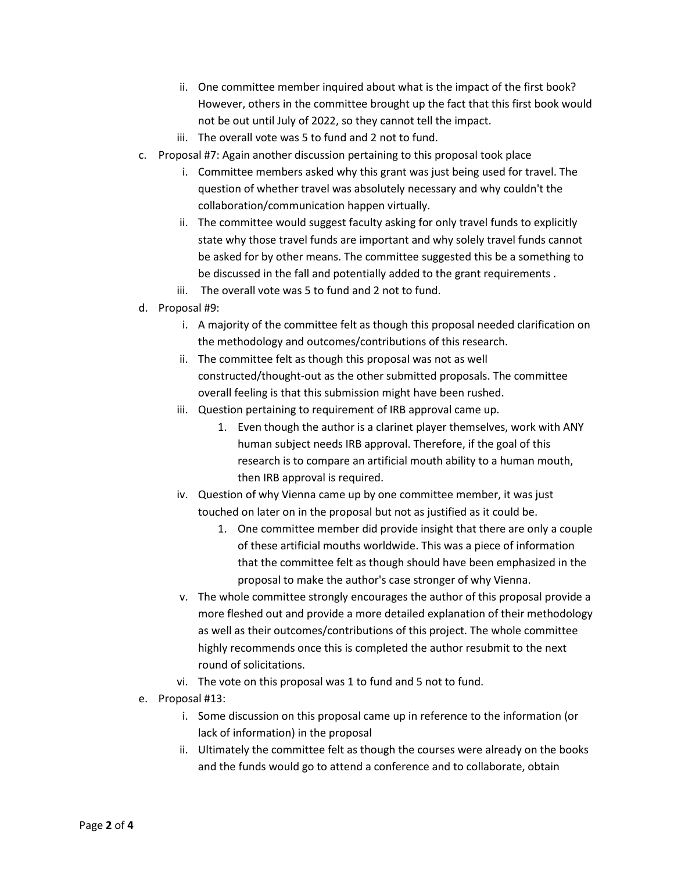- ii. One committee member inquired about what is the impact of the first book? However, others in the committee brought up the fact that this first book would not be out until July of 2022, so they cannot tell the impact.
- iii. The overall vote was 5 to fund and 2 not to fund.
- c. Proposal #7: Again another discussion pertaining to this proposal took place
	- i. Committee members asked why this grant was just being used for travel. The question of whether travel was absolutely necessary and why couldn't the collaboration/communication happen virtually.
	- ii. The committee would suggest faculty asking for only travel funds to explicitly state why those travel funds are important and why solely travel funds cannot be asked for by other means. The committee suggested this be a something to be discussed in the fall and potentially added to the grant requirements .
	- iii. The overall vote was 5 to fund and 2 not to fund.
- d. Proposal #9:
	- i. A majority of the committee felt as though this proposal needed clarification on the methodology and outcomes/contributions of this research.
	- ii. The committee felt as though this proposal was not as well constructed/thought-out as the other submitted proposals. The committee overall feeling is that this submission might have been rushed.
	- iii. Question pertaining to requirement of IRB approval came up.
		- 1. Even though the author is a clarinet player themselves, work with ANY human subject needs IRB approval. Therefore, if the goal of this research is to compare an artificial mouth ability to a human mouth, then IRB approval is required.
	- iv. Question of why Vienna came up by one committee member, it was just touched on later on in the proposal but not as justified as it could be.
		- 1. One committee member did provide insight that there are only a couple of these artificial mouths worldwide. This was a piece of information that the committee felt as though should have been emphasized in the proposal to make the author's case stronger of why Vienna.
	- v. The whole committee strongly encourages the author of this proposal provide a more fleshed out and provide a more detailed explanation of their methodology as well as their outcomes/contributions of this project. The whole committee highly recommends once this is completed the author resubmit to the next round of solicitations.
	- vi. The vote on this proposal was 1 to fund and 5 not to fund.
- e. Proposal #13:
	- i. Some discussion on this proposal came up in reference to the information (or lack of information) in the proposal
	- ii. Ultimately the committee felt as though the courses were already on the books and the funds would go to attend a conference and to collaborate, obtain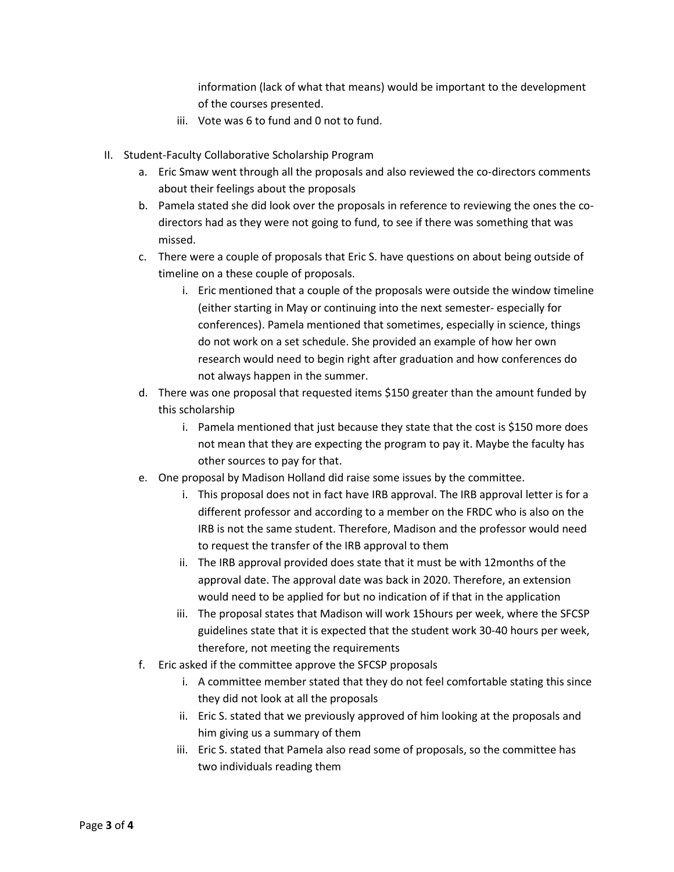information (lack of what that means) would be important to the development of the courses presented.

- iii. Vote was 6 to fund and 0 not to fund.
- II. Student-Faculty Collaborative Scholarship Program
	- a. Eric Smaw went through all the proposals and also reviewed the co-directors comments about their feelings about the proposals
	- b. Pamela stated she did look over the proposals in reference to reviewing the ones the codirectors had as they were not going to fund, to see if there was something that was missed.
	- c. There were a couple of proposals that Eric S. have questions on about being outside of timeline on a these couple of proposals.
		- i. Eric mentioned that a couple of the proposals were outside the window timeline (either starting in May or continuing into the next semester- especially for conferences). Pamela mentioned that sometimes, especially in science, things do not work on a set schedule. She provided an example of how her own research would need to begin right after graduation and how conferences do not always happen in the summer.
	- d. There was one proposal that requested items \$150 greater than the amount funded by this scholarship
		- i. Pamela mentioned that just because they state that the cost is \$150 more does not mean that they are expecting the program to pay it. Maybe the faculty has other sources to pay for that.
	- e. One proposal by Madison Holland did raise some issues by the committee.
		- i. This proposal does not in fact have IRB approval. The IRB approval letter is for a different professor and according to a member on the FRDC who is also on the IRB is not the same student. Therefore, Madison and the professor would need to request the transfer of the IRB approval to them
		- ii. The IRB approval provided does state that it must be with 12months of the approval date. The approval date was back in 2020. Therefore, an extension would need to be applied for but no indication of if that in the application
		- iii. The proposal states that Madison will work 15hours per week, where the SFCSP guidelines state that it is expected that the student work 30-40 hours per week, therefore, not meeting the requirements
	- f. Eric asked if the committee approve the SFCSP proposals
		- i. A committee member stated that they do not feel comfortable stating this since they did not look at all the proposals
		- ii. Eric S. stated that we previously approved of him looking at the proposals and him giving us a summary of them
		- iii. Eric S. stated that Pamela also read some of proposals, so the committee has two individuals reading them